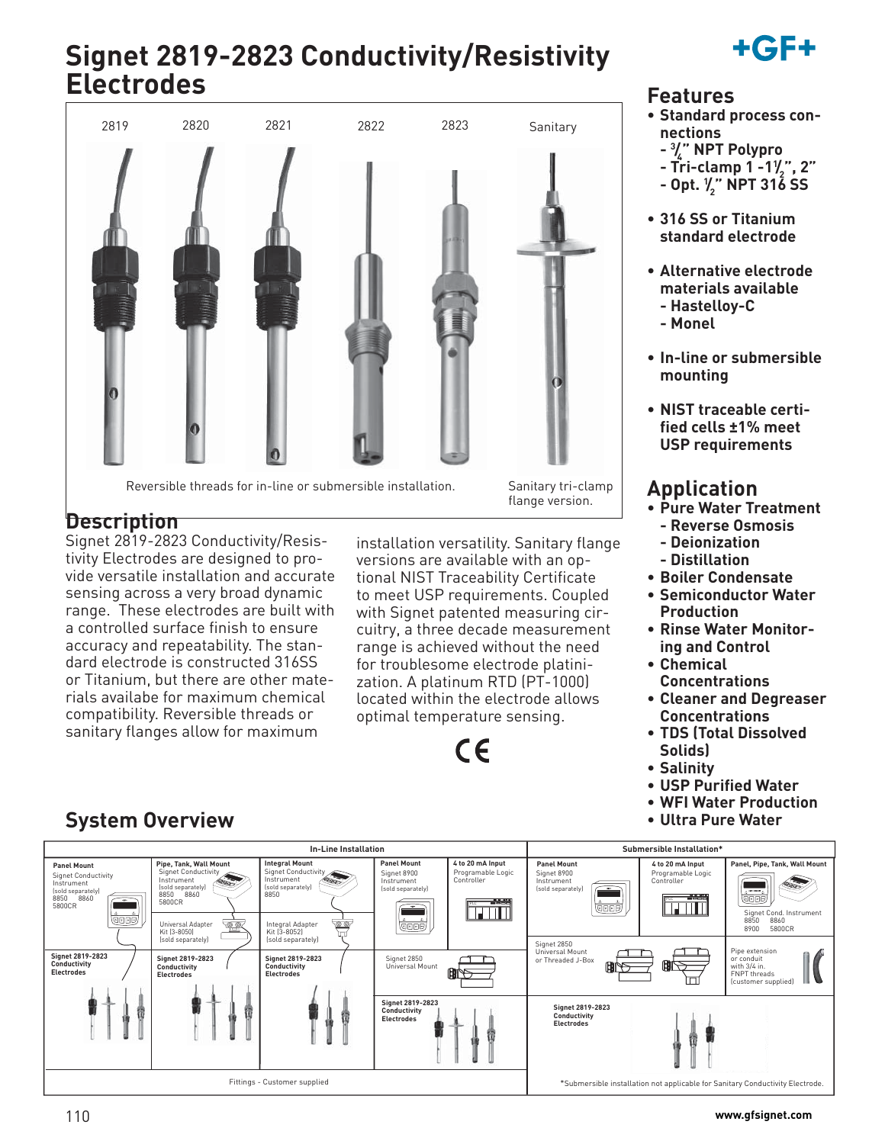# **Signet 2819-2823 Conductivity/Resistivity Electrodes**



Reversible threads for in-line or submersible installation. Sanitary tri-clamp

flange version.

## **Description**

**System Overview**

Signet 2819-2823 Conductivity/Resistivity Electrodes are designed to provide versatile installation and accurate sensing across a very broad dynamic range. These electrodes are built with a controlled surface finish to ensure accuracy and repeatability. The standard electrode is constructed 316SS or Titanium, but there are other materials availabe for maximum chemical compatibility. Reversible threads or sanitary flanges allow for maximum

installation versatility. Sanitary flange versions are available with an optional NIST Traceability Certificate to meet USP requirements. Coupled with Signet patented measuring circuitry, a three decade measurement range is achieved without the need for troublesome electrode platinization. A platinum RTD (PT-1000) located within the electrode allows optimal temperature sensing.

# $\epsilon$

## **Features**

**• Standard process connections** 

+GF+

- **3 / 4 " NPT Polypro**
- **Tri-clamp 1 -11 / 2 ", 2"**
- **Opt. 1 / 2 " NPT 316 SS**
- **316 SS or Titanium standard electrode**
- **Alternative electrode materials available - Hastelloy-C**
	- **Monel**
- **In-line or submersible mounting**
- **NIST traceable certified cells ±1% meet USP requirements**

## **Application**

- **Pure Water Treatment**
	- **Reverse Osmosis**
	- **Deionization**
	- **Distillation**
- **Boiler Condensate • Semiconductor Water**
- **Production**
- **Rinse Water Monitoring and Control**
- **Chemical Concentrations**
- **Cleaner and Degreaser Concentrations**
- **TDS (Total Dissolved Solids)**
- **Salinity**
- **USP Purified Water**
- **WFI Water Production**
- **Ultra Pure Water**



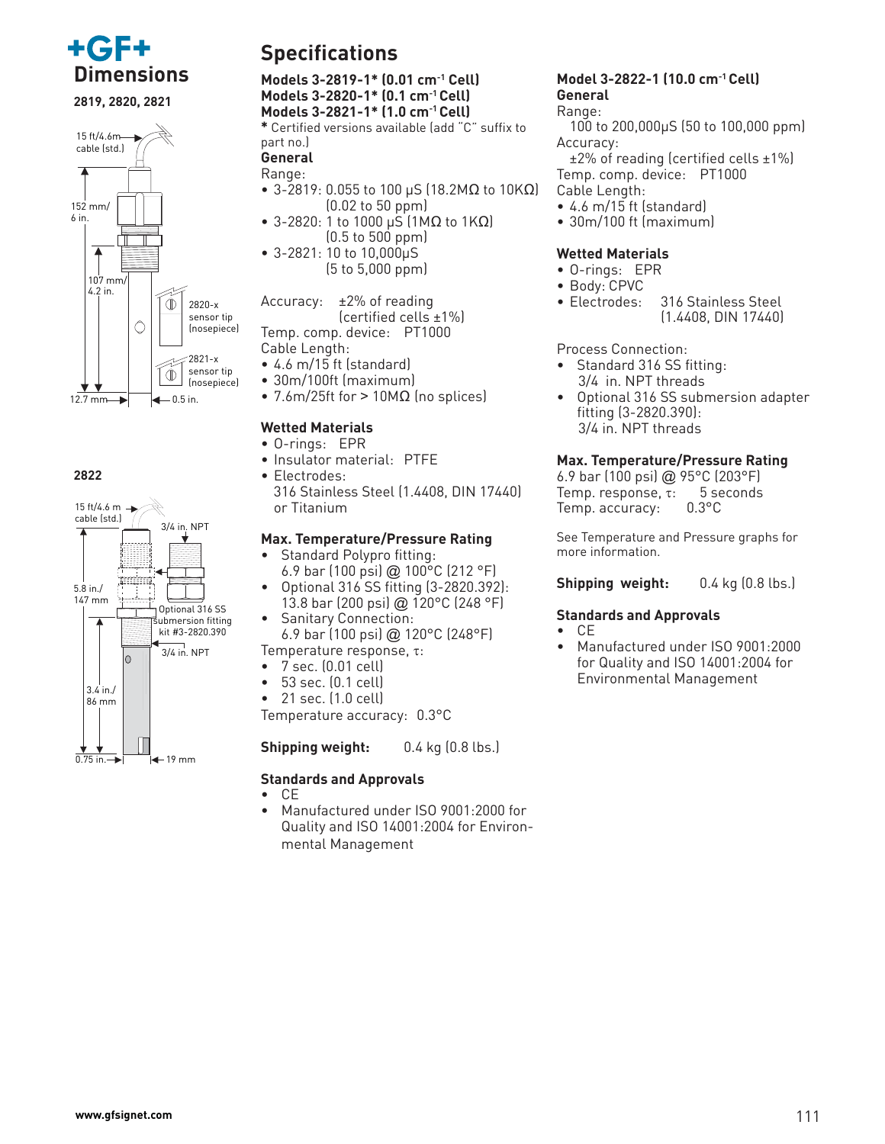

**2819, 2820, 2821**



#### **2822**



## **Specifications**

**Dimensions Models 3-2819-1\* (0.01 cm-1 Cell) Models 3-2820-1\* (0.1 cm-1 Cell) Models 3-2821-1\* (1.0 cm-1 Cell)**

**\*** Certified versions available (add "C" suffix to part no.)

#### **General** Range:

- 3-2819: 0.055 to 100 μS (18.2ΜΩ to 10ΚΩ)  $(0.02 \text{ to } 50 \text{ ppm})$
- 3-2820: 1 to 1000 μS (1MΩ to 1KΩ) (0.5 to 500 ppm)
- 3-2821: 10 to 10,000μS (5 to 5,000 ppm)

Accuracy: ±2% of reading (certified cells ±1%) Temp. comp. device: PT1000 Cable Length:

- 4.6 m/15 ft (standard)
- 30m/100ft (maximum)
- 7.6m/25ft for > 10M $\Omega$  (no splices)

#### **Wetted Materials**

- O-rings: EPR
- Insulator material: PTFE
- Electrodes:
	- 316 Stainless Steel (1.4408, DIN 17440) or Titanium

#### **Max. Temperature/Pressure Rating**

- Standard Polypro fitting: 6.9 bar (100 psi) @ 100°C (212 °F)
- Optional 316 SS fitting (3-2820.392): 13.8 bar (200 psi) @ 120°C (248 °F)
- Sanitary Connection: 6.9 bar (100 psi) @ 120°C (248°F)

Temperature response, τ:

- 7 sec. (0.01 cell) • 53 sec. (0.1 cell)
- 21 sec. (1.0 cell)

Temperature accuracy: 0.3°C

**Shipping weight:** 0.4 kg (0.8 lbs.)

### **Standards and Approvals**

- CE
- Manufactured under ISO 9001:2000 for Quality and ISO 14001:2004 for Environmental Management

## **Model 3-2822-1 (10.0 cm-1 Cell) General**

#### Range:

 100 to 200,000μS (50 to 100,000 ppm) Accuracy:

 ±2% of reading (certified cells ±1%) Temp. comp. device: PT1000 Cable Length:

- 4.6 m/15 ft (standard)
- 30m/100 ft (maximum)

### **Wetted Materials**

- O-rings: EPR
- Body: CPVC
- Electrodes: 316 Stainless Steel (1.4408, DIN 17440)

Process Connection:

- Standard 316 SS fitting: 3/4 in. NPT threads
- Optional 316 SS submersion adapter fitting (3-2820.390): 3/4 in. NPT threads

#### **Max. Temperature/Pressure Rating**

6.9 bar (100 psi) @ 95°C (203°F) Temp. response, τ: 5 seconds Temp. accuracy: 0.3°C

See Temperature and Pressure graphs for more information.

**Shipping weight:** 0.4 kg (0.8 lbs.)

#### **Standards and Approvals**

- CE
- Manufactured under ISO 9001:2000 for Quality and ISO 14001:2004 for Environmental Management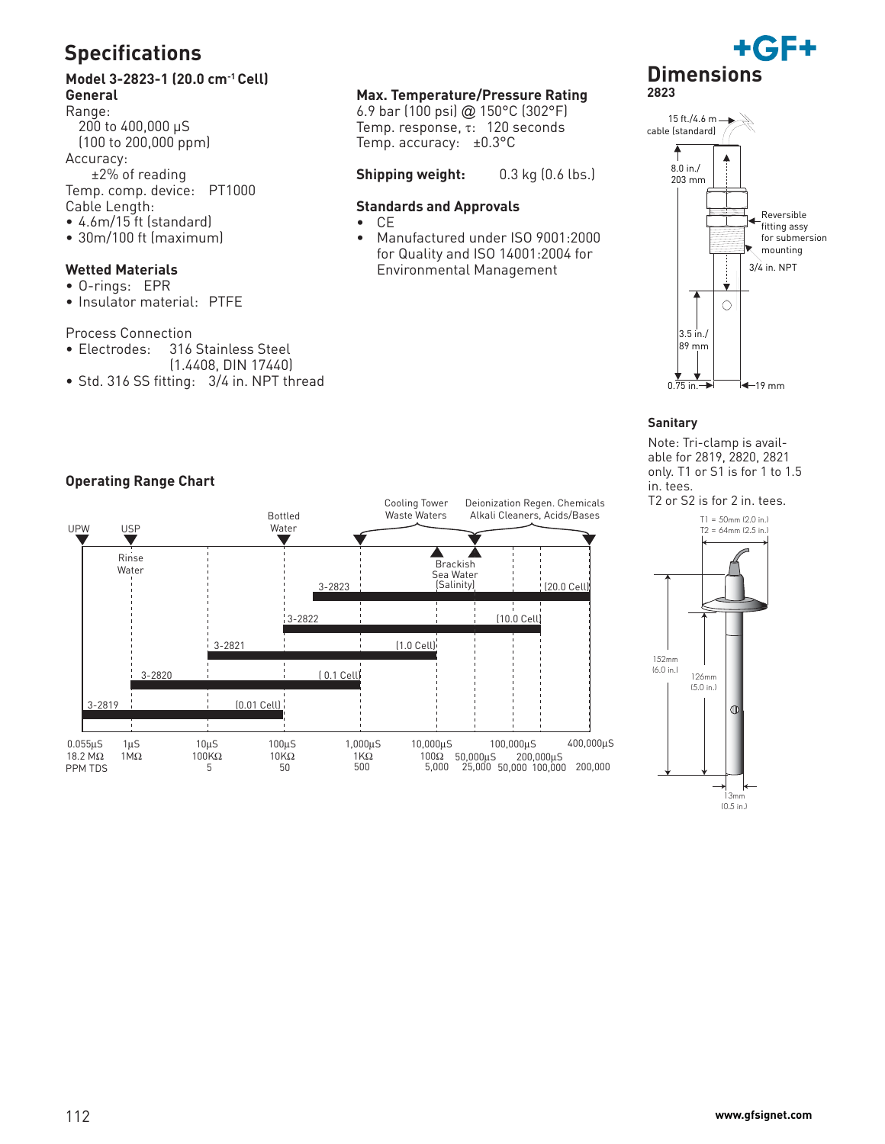## **Specifications**

### **Model 3-2823-1 (20.0 cm-1 Cell) General**

Range: 200 to 400,000 μS (100 to 200,000 ppm) Accuracy: ±2% of reading Temp. comp. device: PT1000 Cable Length: • 4.6m/15 ft (standard)

• 30m/100 ft (maximum)

#### **Wetted Materials**

- O-rings: EPR
- Insulator material: PTFE

Process Connection<br>• Electrodes: 316

- 316 Stainless Steel
- (1.4408, DIN 17440)
- Std. 316 SS fitting: 3/4 in. NPT thread

#### **Max. Temperature/Pressure Rating**

6.9 bar (100 psi) @ 150°C (302°F) Temp. response, τ: 120 seconds Temp. accuracy: ±0.3°C

#### **Shipping weight:** 0.3 kg (0.6 lbs.)

#### **Standards and Approvals**

- CE
- Manufactured under ISO 9001:2000 for Quality and ISO 14001:2004 for Environmental Management





#### **Sanitary**

Note: Tri-clamp is available for 2819, 2820, 2821 only. T1 or S1 is for 1 to 1.5 in. tees.





(0.5 in.)

#### **Operating Range Chart**